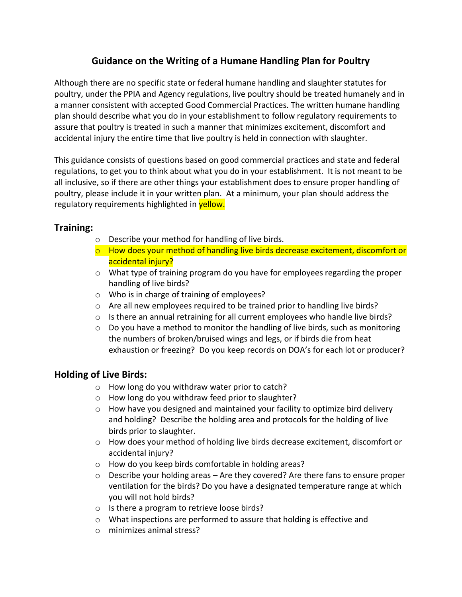# **Guidance on the Writing of a Humane Handling Plan for Poultry**

Although there are no specific state or federal humane handling and slaughter statutes for poultry, under the PPIA and Agency regulations, live poultry should be treated humanely and in a manner consistent with accepted Good Commercial Practices. The written humane handling plan should describe what you do in your establishment to follow regulatory requirements to assure that poultry is treated in such a manner that minimizes excitement, discomfort and accidental injury the entire time that live poultry is held in connection with slaughter.

This guidance consists of questions based on good commercial practices and state and federal regulations, to get you to think about what you do in your establishment. It is not meant to be all inclusive, so if there are other things your establishment does to ensure proper handling of poultry, please include it in your written plan. At a minimum, your plan should address the regulatory requirements highlighted in yellow.

#### **Training:**

- o Describe your method for handling of live birds.
- o How does your method of handling live birds decrease excitement, discomfort or accidental injury?
- $\circ$  What type of training program do you have for employees regarding the proper handling of live birds?
- o Who is in charge of training of employees?
- $\circ$  Are all new employees required to be trained prior to handling live birds?
- $\circ$  Is there an annual retraining for all current employees who handle live birds?
- $\circ$  Do you have a method to monitor the handling of live birds, such as monitoring the numbers of broken/bruised wings and legs, or if birds die from heat exhaustion or freezing? Do you keep records on DOA's for each lot or producer?

## **Holding of Live Birds:**

- o How long do you withdraw water prior to catch?
- o How long do you withdraw feed prior to slaughter?
- $\circ$  How have you designed and maintained your facility to optimize bird delivery and holding? Describe the holding area and protocols for the holding of live birds prior to slaughter.
- o How does your method of holding live birds decrease excitement, discomfort or accidental injury?
- o How do you keep birds comfortable in holding areas?
- $\circ$  Describe your holding areas Are they covered? Are there fans to ensure proper ventilation for the birds? Do you have a designated temperature range at which you will not hold birds?
- o Is there a program to retrieve loose birds?
- o What inspections are performed to assure that holding is effective and
- o minimizes animal stress?